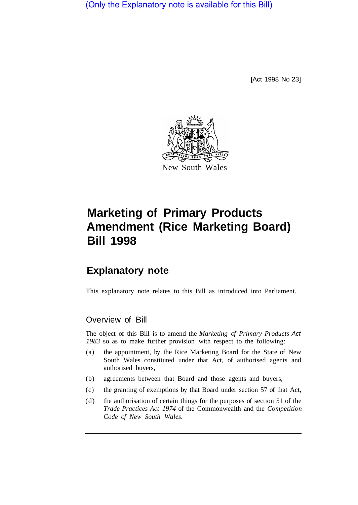(Only the Explanatory note is available for this Bill)

[Act 1998 No 23]



# **Marketing of Primary Products Amendment (Rice Marketing Board) Bill 1998**

## **Explanatory note**

This explanatory note relates to this Bill as introduced into Parliament.

#### Overview of Bill

The object of this Bill is to amend the *Marketing of Primary Products Act 1983* so as to make further provision with respect to the following:

- (a) the appointment, by the Rice Marketing Board for the State of New South Wales constituted under that Act, of authorised agents and authorised buyers,
- (b) agreements between that Board and those agents and buyers,
- (c) the granting of exemptions by that Board under section 57 of that Act,
- (d) the authorisation of certain things for the purposes of section 51 of the *Trade Practices Act 1974* of the Commonwealth and the *Competition Code of New South Wales.*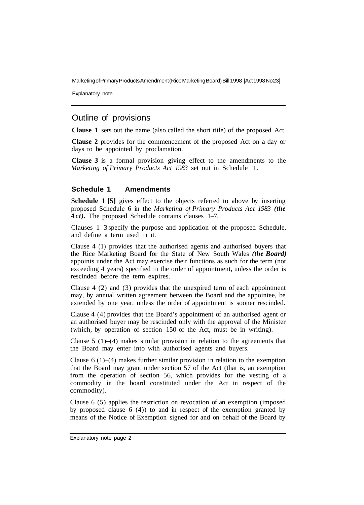Marketing of Primary Products Amendment (Rice Marketing Board) Bill 1998 [Act 1998 No 23]

Explanatory note

### Outline of provisions

**Clause 1** sets out the name (also called the short title) of the proposed Act.

**Clause 2** provides for the commencement of the proposed Act on a day or days to be appointed by proclamation.

**Clause 3** is a formal provision giving effect to the amendments to the *Marketing of Primary Products Act 1983* set out in Schedule 1.

#### **Schedule 1 Amendments**

**Schedule 1 [5]** gives effect to the objects referred to above by inserting proposed Schedule 6 in the *Marketing of Primary Products Act 1983 (the*  Act). The proposed Schedule contains clauses 1-7.

Clauses 1–3 specify the purpose and application of the proposed Schedule, and define a term used in it.

Clause 4 (1) provides that the authorised agents and authorised buyers that the Rice Marketing Board for the State of New South Wales *(the Board)*  appoints under the Act may exercise their functions as such for the term (not exceeding 4 years) specified in the order of appointment, unless the order is rescinded before the term expires.

Clause 4 (2) and (3) provides that the unexpired term of each appointment may, by annual written agreement between the Board and the appointee, be extended by one year, unless the order of appointment is sooner rescinded.

Clause 4 (4) provides that the Board's appointment of an authorised agent or an authorised buyer may be rescinded only with the approval of the Minister (which, by operation of section 150 of the Act, must be in writing).

Clause 5 (1)–(4) makes similar provision in relation to the agreements that the Board may enter into with authorised agents and buyers.

Clause  $6(1)$ –(4) makes further similar provision in relation to the exemption that the Board may grant under section 57 of the Act (that is, an exemption from the operation of section 56, which provides for the vesting of a commodity in the board constituted under the Act in respect of the commodity).

Clause 6 (5) applies the restriction on revocation of an exemption (imposed by proposed clause 6 (4)) to and in respect of the exemption granted by means of the Notice of Exemption signed for and on behalf of the Board by